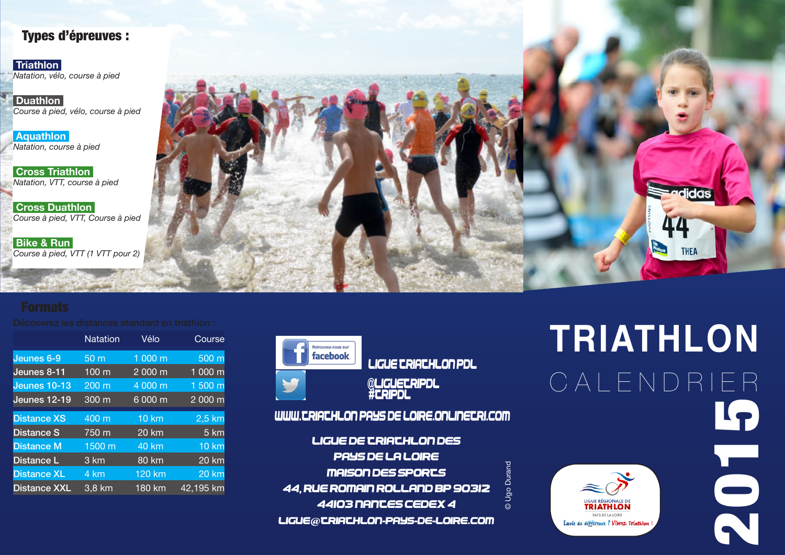### Types d'épreuves :

 **Triathlon**  *Natation, vélo, course à pied*

 **Duathlon**  *Course à pied, vélo, course à pied*

 **Aquathlon**  *Natation, course à pied*

**Cross Triathlon** *Natation, VTT, course à pied*

 **Cross Duathlon**  *Course à pied, VTT, Course à pied*

 **Bike & Run**  *Course à pied, VTT (1 VTT pour 2)*



|                     | <b>Natation</b>  | Vélo         | Course       |
|---------------------|------------------|--------------|--------------|
| Jeunes 6-9          | 50 <sub>m</sub>  | 1 000 m      | 500 m        |
| Jeunes 8-11         | 100 m            | 2 000 m      | 1 000 m      |
| Jeunes 10-13        | 200 <sub>m</sub> | 4000 m       | 1 500 m      |
| <b>Jeunes 12-19</b> | 300 m            | 6 000 m      | 2 000 m      |
| <b>Distance XS</b>  | 400 m            | <b>10 km</b> | 2,5 km       |
| <b>Distance S</b>   | 750 m            | 20 km        | 5 km         |
| <b>Distance M</b>   | 1500 m           | 40 km        | <b>10 km</b> |
| Distance L          | 3 km             | <b>80 km</b> | 20 km        |
| <b>Distance XL</b>  | 4 km             | $120$ km     | <b>20 km</b> |
| <b>Distance XXL</b> | 3,8 km           | 180 km       | 42,195 km    |



 Ligue Triathlon Pdl @LIGUETRIPDL<br>#TRIPDL

www.triathlon-pays-de-loire.onlinetri.com

LIGUE DE TRIATHLON DES PAYS DE LA LOIRE Maison des Sports 44, rue Romain ROLLAND BP 90312 44103 NANTES Cedex 4 Ligue@triathlon-pays-de-loire.com

# **TRIATHLON** C A L E N D R I E R5<br>2015



© Ugo Durand

 $\overline{\odot}$ 

Ugo Durand